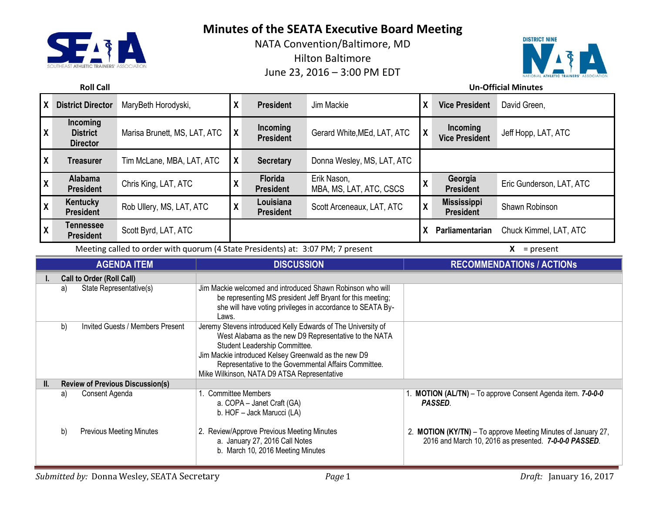

NATA Convention/Baltimore, MD Hilton Baltimore June 23, 2016 – 3:00 PM EDT



## **Roll Call Un-Official Minutes**

| χ                         | <b>District Director</b>                                                                            | MaryBeth Horodyski,          | X                   | <b>President</b>                   | Jim Mackie                             | $\lambda$                | <b>Vice President</b>                  | David Green,             |
|---------------------------|-----------------------------------------------------------------------------------------------------|------------------------------|---------------------|------------------------------------|----------------------------------------|--------------------------|----------------------------------------|--------------------------|
| $\boldsymbol{\mathsf{X}}$ | <b>Incoming</b><br><b>District</b><br><b>Director</b>                                               | Marisa Brunett, MS, LAT, ATC | $\boldsymbol{\chi}$ | Incoming<br><b>President</b>       | Gerard White, MEd, LAT, ATC            |                          | Incoming<br><b>Vice President</b>      | Jeff Hopp, LAT, ATC      |
| X                         | Treasurer                                                                                           | Tim McLane, MBA, LAT, ATC    | X                   | <b>Secretary</b>                   | Donna Wesley, MS, LAT, ATC             |                          |                                        |                          |
| v                         | Alabama<br><b>President</b>                                                                         | Chris King, LAT, ATC         | v<br>Λ              | <b>Florida</b><br><b>President</b> | Erik Nason,<br>MBA, MS, LAT, ATC, CSCS | v<br>$\lambda$           | Georgia<br><b>President</b>            | Eric Gunderson, LAT, ATC |
| v                         | Kentucky<br><b>President</b>                                                                        | Rob Ullery, MS, LAT, ATC     | v<br>Λ              | Louisiana<br><b>President</b>      | Scott Arceneaux, LAT, ATC              | v<br>$\lambda$           | <b>Mississippi</b><br><b>President</b> | Shawn Robinson           |
| v                         | <b>Tennessee</b><br><b>President</b>                                                                | Scott Byrd, LAT, ATC         |                     |                                    |                                        |                          | Parliamentarian                        | Chuck Kimmel, LAT, ATC   |
|                           | Meeting called to order with quorum (4 State Presidents) at: 3:07 PM; 7 present<br>X<br>$=$ present |                              |                     |                                    |                                        |                          |                                        |                          |
|                           |                                                                                                     | <b>ACENDA ITEM</b>           |                     | <b>DICCLICCION</b>                 |                                        | DECOMMENDATION. LACTION. |                                        |                          |

| <b>AGENDA ITEM</b> |                                         |                                  | <b>DISCUSSION</b>                                                                                                                                                                                                                                                                                                      | <b>RECOMMENDATIONS / ACTIONS</b>                                                                                       |
|--------------------|-----------------------------------------|----------------------------------|------------------------------------------------------------------------------------------------------------------------------------------------------------------------------------------------------------------------------------------------------------------------------------------------------------------------|------------------------------------------------------------------------------------------------------------------------|
|                    | <b>Call to Order (Roll Call)</b>        |                                  |                                                                                                                                                                                                                                                                                                                        |                                                                                                                        |
|                    | a)                                      | State Representative(s)          | Jim Mackie welcomed and introduced Shawn Robinson who will<br>be representing MS president Jeff Bryant for this meeting;<br>she will have voting privileges in accordance to SEATA By-<br>Laws.                                                                                                                        |                                                                                                                        |
|                    | b)                                      | Invited Guests / Members Present | Jeremy Stevens introduced Kelly Edwards of The University of<br>West Alabama as the new D9 Representative to the NATA<br>Student Leadership Committee.<br>Jim Mackie introduced Kelsey Greenwald as the new D9<br>Representative to the Governmental Affairs Committee.<br>Mike Wilkinson, NATA D9 ATSA Representative |                                                                                                                        |
| II.                | <b>Review of Previous Discussion(s)</b> |                                  |                                                                                                                                                                                                                                                                                                                        |                                                                                                                        |
|                    | a)                                      | Consent Agenda                   | <b>Committee Members</b><br>a. COPA - Janet Craft (GA)<br>b. HOF - Jack Marucci (LA)                                                                                                                                                                                                                                   | <b>MOTION (AL/TN)</b> – To approve Consent Agenda item. 7-0-0-0<br><b>PASSED.</b>                                      |
|                    | b)                                      | <b>Previous Meeting Minutes</b>  | 2. Review/Approve Previous Meeting Minutes<br>a. January 27, 2016 Call Notes<br>b. March 10, 2016 Meeting Minutes                                                                                                                                                                                                      | 2. MOTION (KY/TN) - To approve Meeting Minutes of January 27,<br>2016 and March 10, 2016 as presented. 7-0-0-0 PASSED. |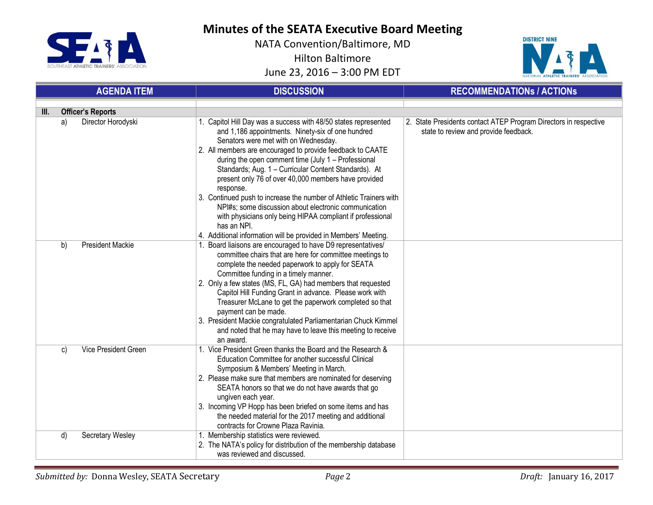



| <b>AGENDA ITEM</b> |                               | <b>DISCUSSION</b>                                                                                                                                                                                                                                                                                                                                                                                                                                                                                                                                                                                                                                                                              | <b>RECOMMENDATIONS / ACTIONS</b>                                                                          |  |
|--------------------|-------------------------------|------------------------------------------------------------------------------------------------------------------------------------------------------------------------------------------------------------------------------------------------------------------------------------------------------------------------------------------------------------------------------------------------------------------------------------------------------------------------------------------------------------------------------------------------------------------------------------------------------------------------------------------------------------------------------------------------|-----------------------------------------------------------------------------------------------------------|--|
| III.               | <b>Officer's Reports</b>      |                                                                                                                                                                                                                                                                                                                                                                                                                                                                                                                                                                                                                                                                                                |                                                                                                           |  |
|                    | Director Horodyski<br>a)      | 1. Capitol Hill Day was a success with 48/50 states represented<br>and 1,186 appointments. Ninety-six of one hundred<br>Senators were met with on Wednesday.<br>2. All members are encouraged to provide feedback to CAATE<br>during the open comment time (July 1 - Professional<br>Standards; Aug. 1 - Curricular Content Standards). At<br>present only 76 of over 40,000 members have provided<br>response.<br>3. Continued push to increase the number of Athletic Trainers with<br>NPI#s; some discussion about electronic communication<br>with physicians only being HIPAA compliant if professional<br>has an NPI.<br>4. Additional information will be provided in Members' Meeting. | 2. State Presidents contact ATEP Program Directors in respective<br>state to review and provide feedback. |  |
|                    | <b>President Mackie</b><br>b) | 1. Board liaisons are encouraged to have D9 representatives/<br>committee chairs that are here for committee meetings to<br>complete the needed paperwork to apply for SEATA<br>Committee funding in a timely manner.<br>2. Only a few states (MS, FL, GA) had members that requested<br>Capitol Hill Funding Grant in advance. Please work with<br>Treasurer McLane to get the paperwork completed so that<br>payment can be made.<br>3. President Mackie congratulated Parliamentarian Chuck Kimmel<br>and noted that he may have to leave this meeting to receive<br>an award.                                                                                                              |                                                                                                           |  |
|                    | Vice President Green<br>C)    | 1. Vice President Green thanks the Board and the Research &<br>Education Committee for another successful Clinical<br>Symposium & Members' Meeting in March.<br>2. Please make sure that members are nominated for deserving<br>SEATA honors so that we do not have awards that go<br>ungiven each year.<br>3. Incoming VP Hopp has been briefed on some items and has<br>the needed material for the 2017 meeting and additional<br>contracts for Crowne Plaza Ravinia.                                                                                                                                                                                                                       |                                                                                                           |  |
|                    | d)<br>Secretary Wesley        | 1. Membership statistics were reviewed.<br>2. The NATA's policy for distribution of the membership database<br>was reviewed and discussed.                                                                                                                                                                                                                                                                                                                                                                                                                                                                                                                                                     |                                                                                                           |  |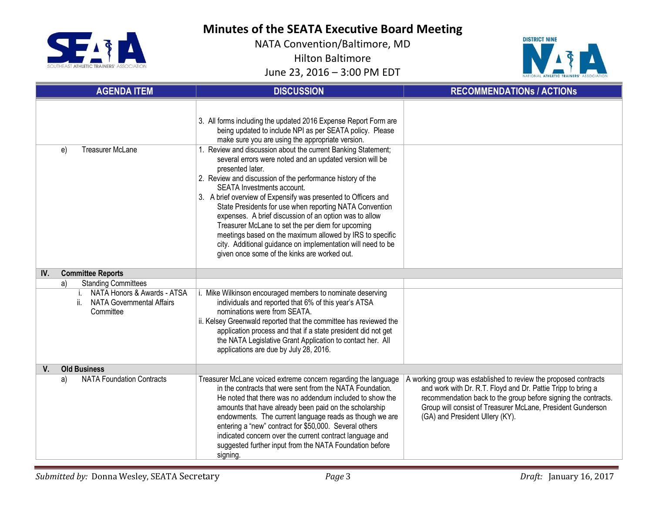



| <b>AGENDA ITEM</b> |                                                                                 | <b>DISCUSSION</b>                                                                                                                                                                                                                                                                                                                                                                                                                                                                                                                                                                                                                                                                                                                                                                                                                                   | <b>RECOMMENDATIONS / ACTIONS</b>                                                                                                                                                                                                                                                                     |
|--------------------|---------------------------------------------------------------------------------|-----------------------------------------------------------------------------------------------------------------------------------------------------------------------------------------------------------------------------------------------------------------------------------------------------------------------------------------------------------------------------------------------------------------------------------------------------------------------------------------------------------------------------------------------------------------------------------------------------------------------------------------------------------------------------------------------------------------------------------------------------------------------------------------------------------------------------------------------------|------------------------------------------------------------------------------------------------------------------------------------------------------------------------------------------------------------------------------------------------------------------------------------------------------|
|                    | <b>Treasurer McLane</b><br>e)                                                   | 3. All forms including the updated 2016 Expense Report Form are<br>being updated to include NPI as per SEATA policy. Please<br>make sure you are using the appropriate version.<br>1. Review and discussion about the current Banking Statement;<br>several errors were noted and an updated version will be<br>presented later.<br>2. Review and discussion of the performance history of the<br>SEATA Investments account.<br>3. A brief overview of Expensify was presented to Officers and<br>State Presidents for use when reporting NATA Convention<br>expenses. A brief discussion of an option was to allow<br>Treasurer McLane to set the per diem for upcoming<br>meetings based on the maximum allowed by IRS to specific<br>city. Additional guidance on implementation will need to be<br>given once some of the kinks are worked out. |                                                                                                                                                                                                                                                                                                      |
| IV.                | <b>Committee Reports</b>                                                        |                                                                                                                                                                                                                                                                                                                                                                                                                                                                                                                                                                                                                                                                                                                                                                                                                                                     |                                                                                                                                                                                                                                                                                                      |
|                    | <b>Standing Committees</b><br>a)                                                |                                                                                                                                                                                                                                                                                                                                                                                                                                                                                                                                                                                                                                                                                                                                                                                                                                                     |                                                                                                                                                                                                                                                                                                      |
|                    | NATA Honors & Awards - ATSA<br>i.<br>ii. NATA Governmental Affairs<br>Committee | i. Mike Wilkinson encouraged members to nominate deserving<br>individuals and reported that 6% of this year's ATSA<br>nominations were from SEATA.<br>ii. Kelsey Greenwald reported that the committee has reviewed the<br>application process and that if a state president did not get<br>the NATA Legislative Grant Application to contact her. All<br>applications are due by July 28, 2016.                                                                                                                                                                                                                                                                                                                                                                                                                                                    |                                                                                                                                                                                                                                                                                                      |
| V.                 | <b>Old Business</b>                                                             |                                                                                                                                                                                                                                                                                                                                                                                                                                                                                                                                                                                                                                                                                                                                                                                                                                                     |                                                                                                                                                                                                                                                                                                      |
|                    | <b>NATA Foundation Contracts</b><br>a)                                          | Treasurer McLane voiced extreme concern regarding the language<br>in the contracts that were sent from the NATA Foundation.<br>He noted that there was no addendum included to show the<br>amounts that have already been paid on the scholarship<br>endowments. The current language reads as though we are<br>entering a "new" contract for \$50,000. Several others<br>indicated concern over the current contract language and<br>suggested further input from the NATA Foundation before<br>signing.                                                                                                                                                                                                                                                                                                                                           | A working group was established to review the proposed contracts<br>and work with Dr. R.T. Floyd and Dr. Pattie Tripp to bring a<br>recommendation back to the group before signing the contracts.<br>Group will consist of Treasurer McLane, President Gunderson<br>(GA) and President Ullery (KY). |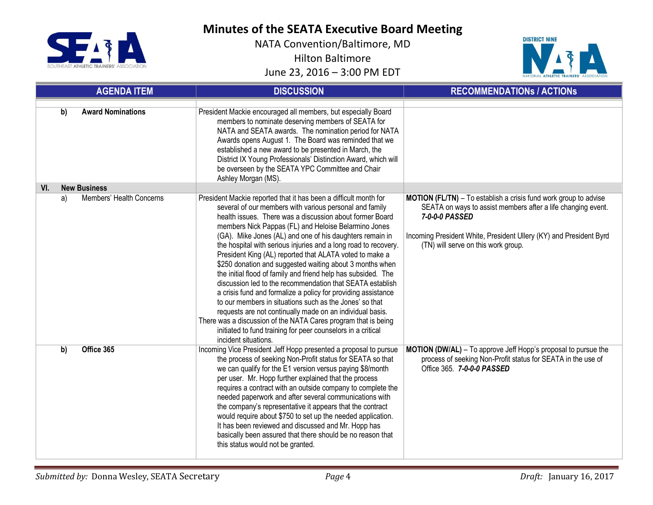



|     |    | <b>AGENDA ITEM</b>       | <b>DISCUSSION</b>                                                                                                                                                                                                                                                                                                                                                                                                                                                                                                                                                                                                                                                                                                                                                                                                                                                                                                                                                                      | <b>RECOMMENDATIONS / ACTIONS</b>                                                                                                                                                                                                                                       |
|-----|----|--------------------------|----------------------------------------------------------------------------------------------------------------------------------------------------------------------------------------------------------------------------------------------------------------------------------------------------------------------------------------------------------------------------------------------------------------------------------------------------------------------------------------------------------------------------------------------------------------------------------------------------------------------------------------------------------------------------------------------------------------------------------------------------------------------------------------------------------------------------------------------------------------------------------------------------------------------------------------------------------------------------------------|------------------------------------------------------------------------------------------------------------------------------------------------------------------------------------------------------------------------------------------------------------------------|
|     | b) | <b>Award Nominations</b> | President Mackie encouraged all members, but especially Board<br>members to nominate deserving members of SEATA for<br>NATA and SEATA awards. The nomination period for NATA<br>Awards opens August 1. The Board was reminded that we<br>established a new award to be presented in March, the<br>District IX Young Professionals' Distinction Award, which will<br>be overseen by the SEATA YPC Committee and Chair<br>Ashley Morgan (MS).                                                                                                                                                                                                                                                                                                                                                                                                                                                                                                                                            |                                                                                                                                                                                                                                                                        |
| VI. |    | <b>New Business</b>      |                                                                                                                                                                                                                                                                                                                                                                                                                                                                                                                                                                                                                                                                                                                                                                                                                                                                                                                                                                                        |                                                                                                                                                                                                                                                                        |
|     | a) | Members' Health Concerns | President Mackie reported that it has been a difficult month for<br>several of our members with various personal and family<br>health issues. There was a discussion about former Board<br>members Nick Pappas (FL) and Heloise Belarmino Jones<br>(GA). Mike Jones (AL) and one of his daughters remain in<br>the hospital with serious injuries and a long road to recovery.<br>President King (AL) reported that ALATA voted to make a<br>\$250 donation and suggested waiting about 3 months when<br>the initial flood of family and friend help has subsided. The<br>discussion led to the recommendation that SEATA establish<br>a crisis fund and formalize a policy for providing assistance<br>to our members in situations such as the Jones' so that<br>requests are not continually made on an individual basis.<br>There was a discussion of the NATA Cares program that is being<br>initiated to fund training for peer counselors in a critical<br>incident situations. | <b>MOTION (FL/TN)</b> - To establish a crisis fund work group to advise<br>SEATA on ways to assist members after a life changing event.<br>7-0-0-0 PASSED<br>Incoming President White, President Ullery (KY) and President Byrd<br>(TN) will serve on this work group. |
|     | b) | Office 365               | Incoming Vice President Jeff Hopp presented a proposal to pursue<br>the process of seeking Non-Profit status for SEATA so that<br>we can qualify for the E1 version versus paying \$8/month<br>per user. Mr. Hopp further explained that the process<br>requires a contract with an outside company to complete the<br>needed paperwork and after several communications with<br>the company's representative it appears that the contract<br>would require about \$750 to set up the needed application.<br>It has been reviewed and discussed and Mr. Hopp has<br>basically been assured that there should be no reason that<br>this status would not be granted.                                                                                                                                                                                                                                                                                                                    | MOTION (DW/AL) - To approve Jeff Hopp's proposal to pursue the<br>process of seeking Non-Profit status for SEATA in the use of<br>Office 365. 7-0-0-0 PASSED                                                                                                           |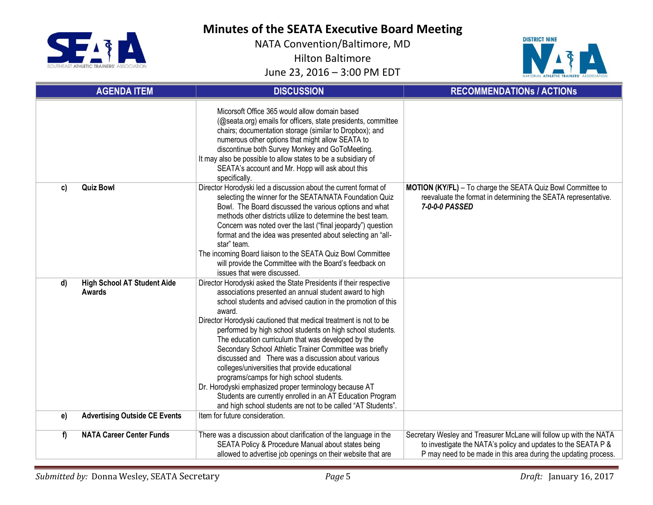



| <b>AGENDA ITEM</b>                                        | <b>DISCUSSION</b>                                                                                                                                                                                                                                                                                                                                                                                                                                                                                                                                                                                                                                                                                                                                                                                    | <b>RECOMMENDATIONS / ACTIONS</b>                                                                                                                                                                       |
|-----------------------------------------------------------|------------------------------------------------------------------------------------------------------------------------------------------------------------------------------------------------------------------------------------------------------------------------------------------------------------------------------------------------------------------------------------------------------------------------------------------------------------------------------------------------------------------------------------------------------------------------------------------------------------------------------------------------------------------------------------------------------------------------------------------------------------------------------------------------------|--------------------------------------------------------------------------------------------------------------------------------------------------------------------------------------------------------|
|                                                           | Micorsoft Office 365 would allow domain based<br>(@seata.org) emails for officers, state presidents, committee<br>chairs; documentation storage (similar to Dropbox); and<br>numerous other options that might allow SEATA to<br>discontinue both Survey Monkey and GoToMeeting.<br>It may also be possible to allow states to be a subsidiary of<br>SEATA's account and Mr. Hopp will ask about this<br>specifically.                                                                                                                                                                                                                                                                                                                                                                               |                                                                                                                                                                                                        |
| <b>Quiz Bowl</b><br>C)                                    | Director Horodyski led a discussion about the current format of<br>selecting the winner for the SEATA/NATA Foundation Quiz<br>Bowl. The Board discussed the various options and what<br>methods other districts utilize to determine the best team.<br>Concern was noted over the last ("final jeopardy") question<br>format and the idea was presented about selecting an "all-<br>star" team.<br>The incoming Board liaison to the SEATA Quiz Bowl Committee<br>will provide the Committee with the Board's feedback on<br>issues that were discussed.                                                                                                                                                                                                                                             | MOTION (KY/FL) - To charge the SEATA Quiz Bowl Committee to<br>reevaluate the format in determining the SEATA representative.<br>7-0-0-0 PASSED                                                        |
| <b>High School AT Student Aide</b><br>d)<br><b>Awards</b> | Director Horodyski asked the State Presidents if their respective<br>associations presented an annual student award to high<br>school students and advised caution in the promotion of this<br>award.<br>Director Horodyski cautioned that medical treatment is not to be<br>performed by high school students on high school students.<br>The education curriculum that was developed by the<br>Secondary School Athletic Trainer Committee was briefly<br>discussed and There was a discussion about various<br>colleges/universities that provide educational<br>programs/camps for high school students.<br>Dr. Horodyski emphasized proper terminology because AT<br>Students are currently enrolled in an AT Education Program<br>and high school students are not to be called "AT Students". |                                                                                                                                                                                                        |
| <b>Advertising Outside CE Events</b><br>e)                | Item for future consideration.                                                                                                                                                                                                                                                                                                                                                                                                                                                                                                                                                                                                                                                                                                                                                                       |                                                                                                                                                                                                        |
| <b>NATA Career Center Funds</b><br>f                      | There was a discussion about clarification of the language in the<br>SEATA Policy & Procedure Manual about states being<br>allowed to advertise job openings on their website that are                                                                                                                                                                                                                                                                                                                                                                                                                                                                                                                                                                                                               | Secretary Wesley and Treasurer McLane will follow up with the NATA<br>to investigate the NATA's policy and updates to the SEATA P &<br>P may need to be made in this area during the updating process. |